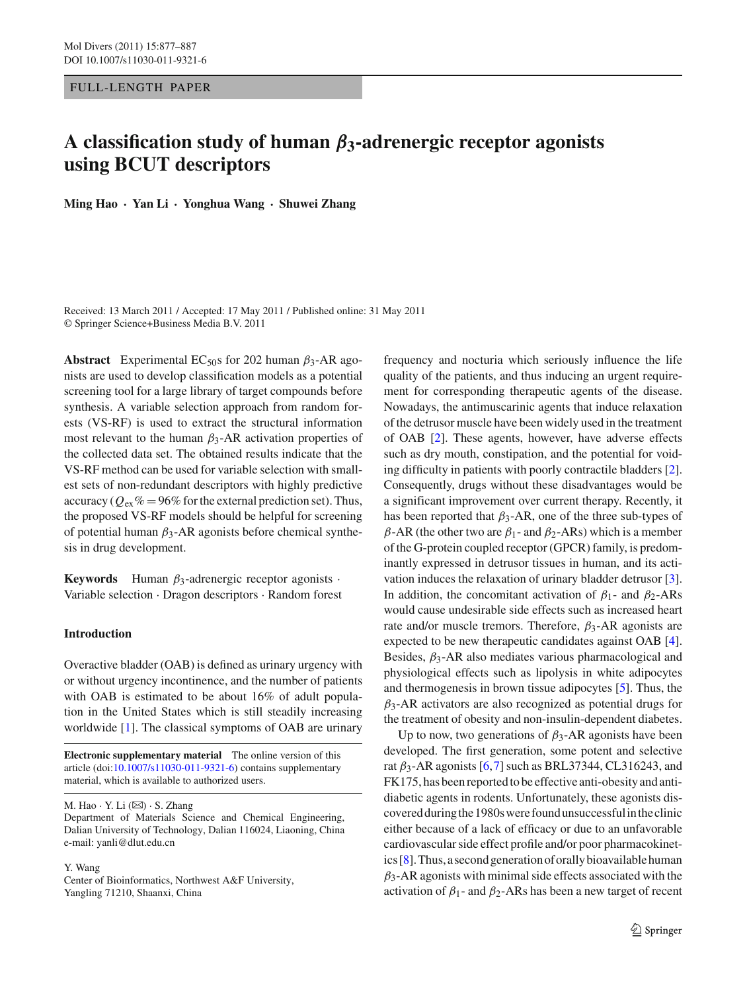## FULL -LENGTH PAPER

# **A classification study of human** *β***3-adrenergic receptor agonists using BCUT descriptors**

**Ming Hao · Yan Li · Yonghua Wang · Shuwei Zhang**

Received: 13 March 2011 / Accepted: 17 May 2011 / Published online: 31 May 2011 © Springer Science+Business Media B.V. 2011

**Abstract** Experimental EC<sub>50</sub>s for 202 human  $\beta_3$ -AR agonists are used to develop classification models as a potential screening tool for a large library of target compounds before synthesis. A variable selection approach from random forests (VS-RF) is used to extract the structural information most relevant to the human  $\beta_3$ -AR activation properties of the collected data set. The obtained results indicate that the VS-RF method can be used for variable selection with smallest sets of non-redundant descriptors with highly predictive accuracy ( $Q_{\text{ex}}\%$  = 96% for the external prediction set). Thus, the proposed VS-RF models should be helpful for screening of potential human  $\beta_3$ -AR agonists before chemical synthesis in drug development.

**Keywords** Human  $\beta_3$ -adrenergic receptor agonists  $\cdot$ Variable selection · Dragon descriptors · Random forest

## **Introduction**

Overactive bladder (OAB) is defined as urinary urgency with or without urgency incontinence, and the number of patients with OAB is estimated to be about 16% of adult population in the United States which is still steadily increasing worldwide [\[1\]](#page-9-0). The classical symptoms of OAB are urinary

**Electronic supplementary material** The online version of this article (doi[:10.1007/s11030-011-9321-6\)](http://dx.doi.org/10.1007/s11030-011-9321-6) contains supplementary material, which is available to authorized users.

M. Hao  $\cdot$  Y. Li  $(\boxtimes) \cdot$  S. Zhang

Department of Materials Science and Chemical Engineering, Dalian University of Technology, Dalian 116024, Liaoning, China e-mail: yanli@dlut.edu.cn

Y. Wang

Center of Bioinformatics, Northwest A&F University, Yangling 71210, Shaanxi, China

frequency and nocturia which seriously influence the life quality of the patients, and thus inducing an urgent requirement for corresponding therapeutic agents of the disease. Nowadays, the antimuscarinic agents that induce relaxation of the detrusor muscle have been widely used in the treatment of OAB [\[2\]](#page-9-1). These agents, however, have adverse effects such as dry mouth, constipation, and the potential for voiding difficulty in patients with poorly contractile bladders [\[2](#page-9-1)]. Consequently, drugs without these disadvantages would be a significant improvement over current therapy. Recently, it has been reported that  $\beta_3$ -AR, one of the three sub-types of β-AR (the other two are  $β_1$ - and  $β_2$ -ARs) which is a member of the G-protein coupled receptor (GPCR) family, is predominantly expressed in detrusor tissues in human, and its activation induces the relaxation of urinary bladder detrusor [\[3](#page-9-2)]. In addition, the concomitant activation of  $\beta_1$ - and  $\beta_2$ -ARs would cause undesirable side effects such as increased heart rate and/or muscle tremors. Therefore,  $\beta_3$ -AR agonists are expected to be new therapeutic candidates against OAB [\[4](#page-9-3)]. Besides,  $\beta_3$ -AR also mediates various pharmacological and physiological effects such as lipolysis in white adipocytes and thermogenesis in brown tissue adipocytes [\[5](#page-9-4)]. Thus, the  $\beta_3$ -AR activators are also recognized as potential drugs for the treatment of obesity and non-insulin-dependent diabetes.

Up to now, two generations of  $\beta_3$ -AR agonists have been developed. The first generation, some potent and selective rat  $\beta_3$ -AR agonists [\[6](#page-9-5),[7\]](#page-9-6) such as BRL37344, CL316243, and FK175, has been reported to be effective anti-obesity and antidiabetic agents in rodents. Unfortunately, these agonists discovered duringthe 1980swere found unsuccessfulintheclinic either because of a lack of efficacy or due to an unfavorable cardiovascular side effect profile and/or poor pharmacokinetics  $[8]$ . Thus, a second generation of orally bioavailable human  $\beta_3$ -AR agonists with minimal side effects associated with the activation of  $\beta_1$ - and  $\beta_2$ -ARs has been a new target of recent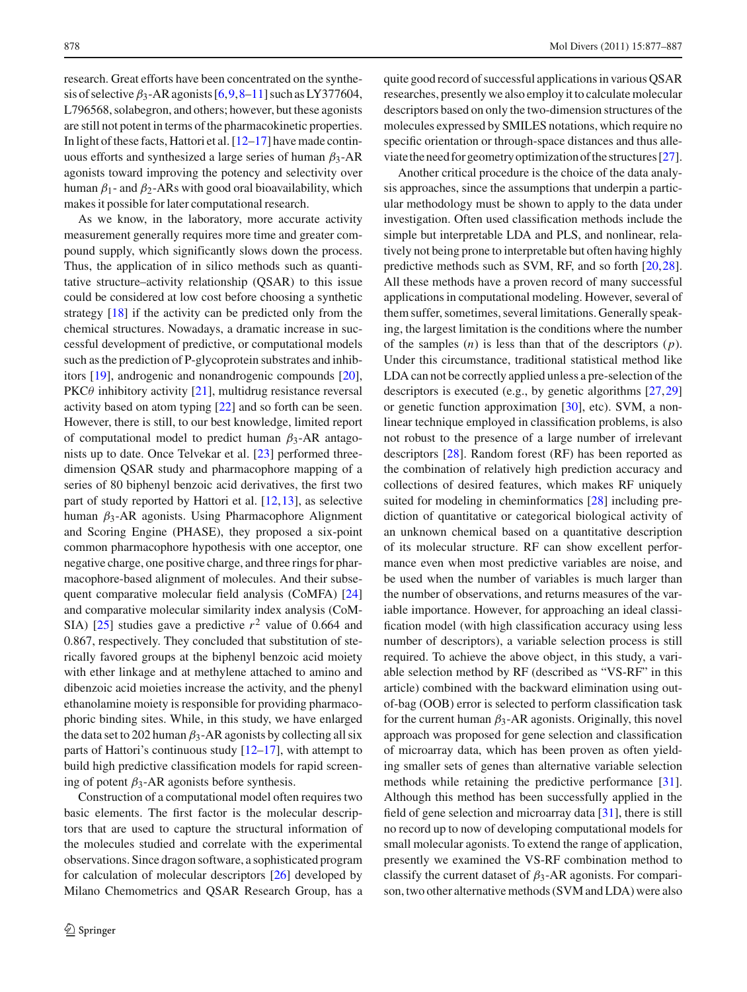research. Great efforts have been concentrated on the synthesis of selective  $\beta_3$ -AR agonists  $[6,9,8-11]$  $[6,9,8-11]$  $[6,9,8-11]$  $[6,9,8-11]$  $[6,9,8-11]$  such as LY377604, L796568, solabegron, and others; however, but these agonists are still not potent in terms of the pharmacokinetic properties. In light of these facts, Hattori et al. [\[12](#page-9-10)[–17](#page-9-11)] have made continuous efforts and synthesized a large series of human  $\beta_3$ -AR agonists toward improving the potency and selectivity over human  $β_1$ - and  $β_2$ -ARs with good oral bioavailability, which makes it possible for later computational research.

As we know, in the laboratory, more accurate activity measurement generally requires more time and greater compound supply, which significantly slows down the process. Thus, the application of in silico methods such as quantitative structure–activity relationship (QSAR) to this issue could be considered at low cost before choosing a synthetic strategy [\[18\]](#page-9-12) if the activity can be predicted only from the chemical structures. Nowadays, a dramatic increase in successful development of predictive, or computational models such as the prediction of P-glycoprotein substrates and inhibitors [\[19](#page-9-13)], androgenic and nonandrogenic compounds [\[20](#page-9-14)], PKC $\theta$  inhibitory activity [\[21\]](#page-9-15), multidrug resistance reversal activity based on atom typing [\[22\]](#page-9-16) and so forth can be seen. However, there is still, to our best knowledge, limited report of computational model to predict human  $\beta_3$ -AR antagonists up to date. Once Telvekar et al. [\[23](#page-9-17)] performed threedimension QSAR study and pharmacophore mapping of a series of 80 biphenyl benzoic acid derivatives, the first two part of study reported by Hattori et al. [\[12](#page-9-10),[13\]](#page-9-18), as selective human  $β_3$ -AR agonists. Using Pharmacophore Alignment and Scoring Engine (PHASE), they proposed a six-point common pharmacophore hypothesis with one acceptor, one negative charge, one positive charge, and three rings for pharmacophore-based alignment of molecules. And their subsequent comparative molecular field analysis (CoMFA) [\[24\]](#page-10-0) and comparative molecular similarity index analysis (CoM-SIA)  $[25]$  $[25]$  studies gave a predictive  $r^2$  value of 0.664 and 0.867, respectively. They concluded that substitution of sterically favored groups at the biphenyl benzoic acid moiety with ether linkage and at methylene attached to amino and dibenzoic acid moieties increase the activity, and the phenyl ethanolamine moiety is responsible for providing pharmacophoric binding sites. While, in this study, we have enlarged the data set to 202 human  $\beta_3$ -AR agonists by collecting all six parts of Hattori's continuous study  $[12–17]$  $[12–17]$  $[12–17]$ , with attempt to build high predictive classification models for rapid screening of potent  $\beta_3$ -AR agonists before synthesis.

Construction of a computational model often requires two basic elements. The first factor is the molecular descriptors that are used to capture the structural information of the molecules studied and correlate with the experimental observations. Since dragon software, a sophisticated program for calculation of molecular descriptors [\[26\]](#page-10-2) developed by Milano Chemometrics and QSAR Research Group, has a quite good record of successful applications in various QSAR researches, presently we also employ it to calculate molecular descriptors based on only the two-dimension structures of the molecules expressed by SMILES notations, which require no specific orientation or through-space distances and thus alleviate the need for geometry optimization of the structures  $[27]$  $[27]$ .

Another critical procedure is the choice of the data analysis approaches, since the assumptions that underpin a particular methodology must be shown to apply to the data under investigation. Often used classification methods include the simple but interpretable LDA and PLS, and nonlinear, relatively not being prone to interpretable but often having highly predictive methods such as SVM, RF, and so forth [\[20](#page-9-14)[,28](#page-10-4)]. All these methods have a proven record of many successful applications in computational modeling. However, several of them suffer, sometimes, several limitations. Generally speaking, the largest limitation is the conditions where the number of the samples (*n*) is less than that of the descriptors (*p*). Under this circumstance, traditional statistical method like LDA can not be correctly applied unless a pre-selection of the descriptors is executed (e.g., by genetic algorithms [\[27,](#page-10-3)[29\]](#page-10-5) or genetic function approximation [\[30](#page-10-6)], etc). SVM, a nonlinear technique employed in classification problems, is also not robust to the presence of a large number of irrelevant descriptors [\[28](#page-10-4)]. Random forest (RF) has been reported as the combination of relatively high prediction accuracy and collections of desired features, which makes RF uniquely suited for modeling in cheminformatics [\[28\]](#page-10-4) including prediction of quantitative or categorical biological activity of an unknown chemical based on a quantitative description of its molecular structure. RF can show excellent performance even when most predictive variables are noise, and be used when the number of variables is much larger than the number of observations, and returns measures of the variable importance. However, for approaching an ideal classification model (with high classification accuracy using less number of descriptors), a variable selection process is still required. To achieve the above object, in this study, a variable selection method by RF (described as "VS-RF" in this article) combined with the backward elimination using outof-bag (OOB) error is selected to perform classification task for the current human  $\beta_3$ -AR agonists. Originally, this novel approach was proposed for gene selection and classification of microarray data, which has been proven as often yielding smaller sets of genes than alternative variable selection methods while retaining the predictive performance [\[31](#page-10-7)]. Although this method has been successfully applied in the field of gene selection and microarray data [\[31](#page-10-7)], there is still no record up to now of developing computational models for small molecular agonists. To extend the range of application, presently we examined the VS-RF combination method to classify the current dataset of  $\beta_3$ -AR agonists. For comparison, two other alternative methods (SVM and LDA) were also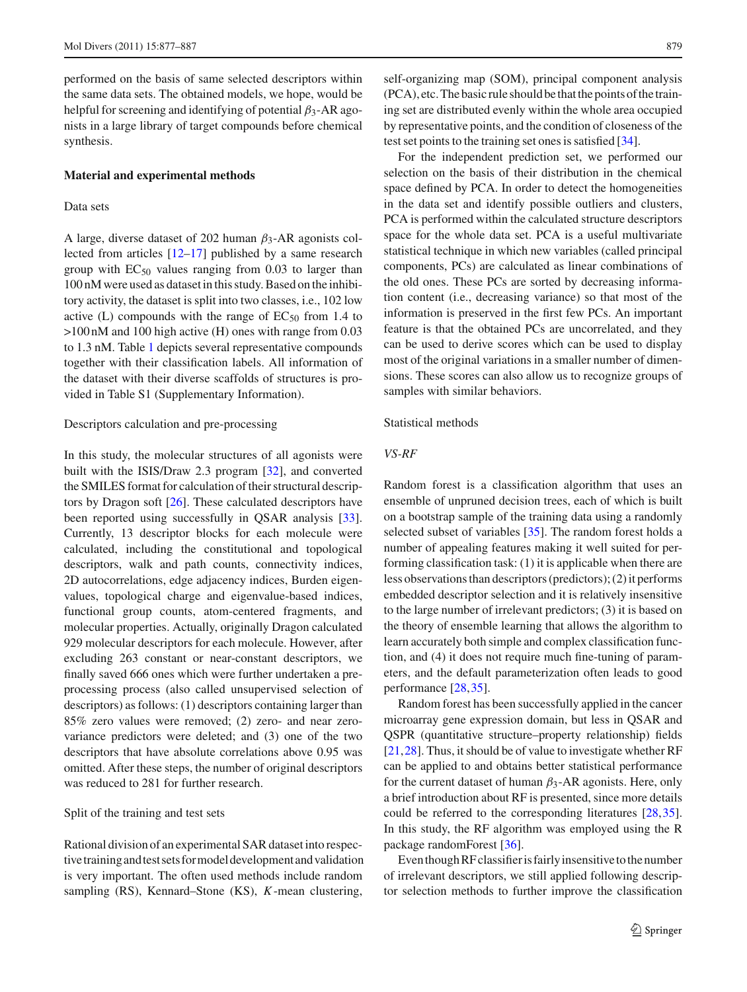performed on the basis of same selected descriptors within the same data sets. The obtained models, we hope, would be helpful for screening and identifying of potential  $\beta_3$ -AR agonists in a large library of target compounds before chemical synthesis.

### **Material and experimental methods**

#### Data sets

A large, diverse dataset of 202 human  $\beta_3$ -AR agonists collected from articles [\[12](#page-9-10)[–17\]](#page-9-11) published by a same research group with  $EC_{50}$  values ranging from 0.03 to larger than 100 nM were used as dataset in this study. Based on the inhibitory activity, the dataset is split into two classes, i.e., 102 low active (L) compounds with the range of  $EC_{50}$  from 1.4 to >100 nM and 100 high active (H) ones with range from 0.03 to 1.3 nM. Table [1](#page-3-0) depicts several representative compounds together with their classification labels. All information of the dataset with their diverse scaffolds of structures is provided in Table S1 (Supplementary Information).

## Descriptors calculation and pre-processing

In this study, the molecular structures of all agonists were built with the ISIS/Draw 2.3 program [\[32\]](#page-10-8), and converted the SMILES format for calculation of their structural descriptors by Dragon soft [\[26\]](#page-10-2). These calculated descriptors have been reported using successfully in QSAR analysis [\[33](#page-10-9)]. Currently, 13 descriptor blocks for each molecule were calculated, including the constitutional and topological descriptors, walk and path counts, connectivity indices, 2D autocorrelations, edge adjacency indices, Burden eigenvalues, topological charge and eigenvalue-based indices, functional group counts, atom-centered fragments, and molecular properties. Actually, originally Dragon calculated 929 molecular descriptors for each molecule. However, after excluding 263 constant or near-constant descriptors, we finally saved 666 ones which were further undertaken a preprocessing process (also called unsupervised selection of descriptors) as follows: (1) descriptors containing larger than 85% zero values were removed; (2) zero- and near zerovariance predictors were deleted; and (3) one of the two descriptors that have absolute correlations above 0.95 was omitted. After these steps, the number of original descriptors was reduced to 281 for further research.

## Split of the training and test sets

Rational division of an experimental SAR dataset into respectivetrainingandtest sets formodel developmentand validation is very important. The often used methods include random sampling (RS), Kennard–Stone (KS), *K*-mean clustering,

self-organizing map (SOM), principal component analysis  $(PCA)$ , etc. The basic rule should be that the points of the training set are distributed evenly within the whole area occupied by representative points, and the condition of closeness of the test set points to the training set ones is satisfied [\[34](#page-10-10)].

For the independent prediction set, we performed our selection on the basis of their distribution in the chemical space defined by PCA. In order to detect the homogeneities in the data set and identify possible outliers and clusters, PCA is performed within the calculated structure descriptors space for the whole data set. PCA is a useful multivariate statistical technique in which new variables (called principal components, PCs) are calculated as linear combinations of the old ones. These PCs are sorted by decreasing information content (i.e., decreasing variance) so that most of the information is preserved in the first few PCs. An important feature is that the obtained PCs are uncorrelated, and they can be used to derive scores which can be used to display most of the original variations in a smaller number of dimensions. These scores can also allow us to recognize groups of samples with similar behaviors.

## Statistical methods

## *VS-RF*

Random forest is a classification algorithm that uses an ensemble of unpruned decision trees, each of which is built on a bootstrap sample of the training data using a randomly selected subset of variables [\[35\]](#page-10-11). The random forest holds a number of appealing features making it well suited for performing classification task: (1) it is applicable when there are less observations than descriptors (predictors); (2) it performs embedded descriptor selection and it is relatively insensitive to the large number of irrelevant predictors; (3) it is based on the theory of ensemble learning that allows the algorithm to learn accurately both simple and complex classification function, and (4) it does not require much fine-tuning of parameters, and the default parameterization often leads to good performance [\[28](#page-10-4),[35](#page-10-11)].

Random forest has been successfully applied in the cancer microarray gene expression domain, but less in QSAR and QSPR (quantitative structure–property relationship) fields [\[21](#page-9-15),[28\]](#page-10-4). Thus, it should be of value to investigate whether RF can be applied to and obtains better statistical performance for the current dataset of human  $\beta_3$ -AR agonists. Here, only a brief introduction about RF is presented, since more details could be referred to the corresponding literatures [\[28](#page-10-4)[,35](#page-10-11)]. In this study, the RF algorithm was employed using the R package randomForest [\[36](#page-10-12)].

Even though RF classifier is fairly insensitive to the number of irrelevant descriptors, we still applied following descriptor selection methods to further improve the classification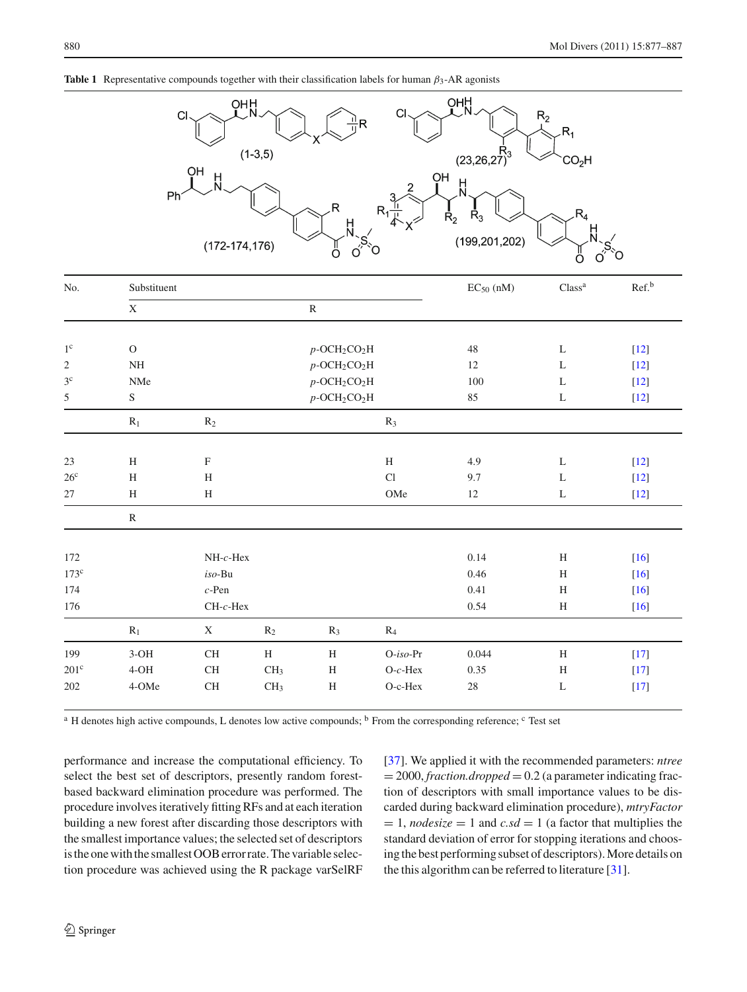

<span id="page-3-0"></span>

|  | <b>Table 1</b> Representative compounds together with their classification labels for human $\beta_3$ -AR agonists |  |  |  |  |
|--|--------------------------------------------------------------------------------------------------------------------|--|--|--|--|
|--|--------------------------------------------------------------------------------------------------------------------|--|--|--|--|

| No.             | Substituent             |              |                                         |                                         |                                         | $EC_{50}$ (nM) | Class <sup>a</sup>        | Ref. <sup>b</sup> |
|-----------------|-------------------------|--------------|-----------------------------------------|-----------------------------------------|-----------------------------------------|----------------|---------------------------|-------------------|
|                 | $\mathbf X$             |              |                                         | $\mathbb R$                             |                                         |                |                           |                   |
|                 |                         |              |                                         |                                         |                                         |                |                           |                   |
| $1^{\circ}$     | $\mathcal{O}$           |              |                                         | $p$ -OCH <sub>2</sub> CO <sub>2</sub> H |                                         | 48             | $\mathbf L$               | $[12]$            |
| $\overline{2}$  | $\rm{NH}$               |              |                                         |                                         | $p$ -OCH <sub>2</sub> CO <sub>2</sub> H | 12             | L                         | $[12]$            |
| 3 <sup>c</sup>  | NMe                     |              |                                         |                                         | $p$ -OCH <sub>2</sub> CO <sub>2</sub> H | 100            | L                         | $[12]$            |
| 5               | ${\mathbf S}$           |              | $p$ -OCH <sub>2</sub> CO <sub>2</sub> H |                                         | 85                                      | L              | $[12]$                    |                   |
|                 | $\mathbf{R}_1$<br>$R_2$ |              |                                         | $R_3$                                   |                                         |                |                           |                   |
| 23              | $\, {\rm H}$            | $\mathbf F$  |                                         |                                         | $\, {\rm H}$                            | 4.9            | L                         | $[12]$            |
| 26 <sup>c</sup> | $\,$ H                  | $\, {\rm H}$ |                                         |                                         | Cl                                      | 9.7            | $\mathbf L$               | $[12]$            |
| $27\,$          | $\, {\rm H}$            | $\rm H$      |                                         |                                         | OMe                                     | $12\,$         | $\mathbf L$               | $[12]$            |
|                 | $\mathbb{R}$            |              |                                         |                                         |                                         |                |                           |                   |
| 172             |                         | $NH-c$ -Hex  |                                         |                                         |                                         | $0.14\,$       | $\boldsymbol{\mathrm{H}}$ | $[16]$            |
| $173^{\circ}$   |                         | $iso-Bu$     |                                         |                                         |                                         | 0.46           | $\, {\rm H}$              | $[16]$            |
| 174             |                         | $c$ -Pen     |                                         |                                         |                                         | 0.41           | $\, {\rm H}$              | $[16]$            |
| 176             |                         | $CH-c-Hex$   |                                         |                                         |                                         | 0.54           | $\, {\rm H}$              | $[16]$            |
|                 | $R_1$                   | $\mathbf X$  | $R_2$                                   | $R_3$                                   | $R_4$                                   |                |                           |                   |
| 199             | $3-OH$                  | $\rm CH$     | $\, {\rm H}$                            | $\, {\rm H}$                            | $O-iso-Pr$                              | 0.044          | H                         | $[17]$            |
| $201^{\circ}$   | $4-OH$                  | CH           | CH <sub>3</sub>                         | H                                       | $O-c$ -Hex                              | 0.35           | $\,$ H                    | $[17]$            |
| 202             | 4-OMe                   | CH           | CH <sub>3</sub>                         | H                                       | O-c-Hex                                 | 28             | $\mathbf L$               | $[17]$            |

<sup>a</sup> H denotes high active compounds, L denotes low active compounds; <sup>b</sup> From the corresponding reference; <sup>c</sup> Test set

performance and increase the computational efficiency. To select the best set of descriptors, presently random forestbased backward elimination procedure was performed. The procedure involves iteratively fitting RFs and at each iteration building a new forest after discarding those descriptors with the smallest importance values; the selected set of descriptors is the one with the smallest OOB error rate. The variable selection procedure was achieved using the R package varSelRF [\[37](#page-10-13)]. We applied it with the recommended parameters: *ntree*  $= 2000$ , *fraction.dropped*  $= 0.2$  (a parameter indicating fraction of descriptors with small importance values to be discarded during backward elimination procedure), *mtryFactor*  $= 1$ , *nodesize*  $= 1$  and *c.sd*  $= 1$  (a factor that multiplies the standard deviation of error for stopping iterations and choosingthe best performing subset of descriptors).More details on the this algorithm can be referred to literature [\[31\]](#page-10-7).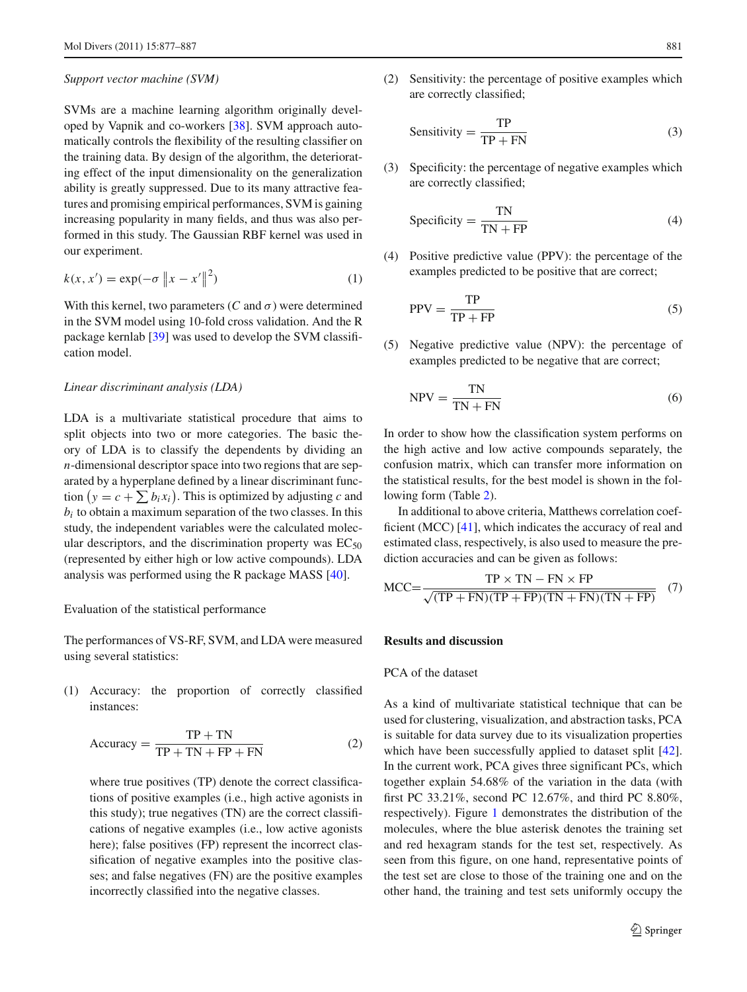#### *Support vector machine (SVM)*

SVMs are a machine learning algorithm originally developed by Vapnik and co-workers [\[38\]](#page-10-14). SVM approach automatically controls the flexibility of the resulting classifier on the training data. By design of the algorithm, the deteriorating effect of the input dimensionality on the generalization ability is greatly suppressed. Due to its many attractive features and promising empirical performances, SVM is gaining increasing popularity in many fields, and thus was also performed in this study. The Gaussian RBF kernel was used in our experiment.

$$
k(x, x') = \exp(-\sigma \|x - x'\|^2)
$$
 (1)

With this kernel, two parameters ( $C$  and  $\sigma$ ) were determined in the SVM model using 10-fold cross validation. And the R package kernlab [\[39\]](#page-10-15) was used to develop the SVM classification model.

#### *Linear discriminant analysis (LDA)*

LDA is a multivariate statistical procedure that aims to split objects into two or more categories. The basic theory of LDA is to classify the dependents by dividing an *n*-dimensional descriptor space into two regions that are separated by a hyperplane defined by a linear discriminant function  $(y = c + \sum b_i x_i)$ . This is optimized by adjusting *c* and  $b_i$  to obtain a maximum separation of the two classes. In this study, the independent variables were the calculated molecular descriptors, and the discrimination property was  $EC_{50}$ (represented by either high or low active compounds). LDA analysis was performed using the R package MASS [\[40](#page-10-16)].

#### Evaluation of the statistical performance

The performances of VS-RF, SVM, and LDA were measured using several statistics:

(1) Accuracy: the proportion of correctly classified instances:

$$
Accuracy = \frac{TP + TN}{TP + TN + FP + FN}
$$
 (2)

where true positives (TP) denote the correct classifications of positive examples (i.e., high active agonists in this study); true negatives (TN) are the correct classifications of negative examples (i.e., low active agonists here); false positives (FP) represent the incorrect classification of negative examples into the positive classes; and false negatives (FN) are the positive examples incorrectly classified into the negative classes.

(2) Sensitivity: the percentage of positive examples which are correctly classified;

$$
Sensitivity = \frac{TP}{TP + FN}
$$
 (3)

(3) Specificity: the percentage of negative examples which are correctly classified;

$$
Specificity = \frac{TN}{TN + FP}
$$
 (4)

(4) Positive predictive value (PPV): the percentage of the examples predicted to be positive that are correct;

$$
PPV = \frac{TP}{TP + FP}
$$
 (5)

(5) Negative predictive value (NPV): the percentage of examples predicted to be negative that are correct;

$$
NPV = \frac{TN}{TN + FN}
$$
 (6)

In order to show how the classification system performs on the high active and low active compounds separately, the confusion matrix, which can transfer more information on the statistical results, for the best model is shown in the following form (Table [2\)](#page-5-0).

In additional to above criteria, Matthews correlation coefficient (MCC) [\[41\]](#page-10-17), which indicates the accuracy of real and estimated class, respectively, is also used to measure the prediction accuracies and can be given as follows:

$$
MCC = \frac{TP \times TN - FN \times FP}{\sqrt{(TP + FN)(TP + FP)(TN + FN)(TN + FP)}}
$$
(7)

## **Results and discussion**

## PCA of the dataset

As a kind of multivariate statistical technique that can be used for clustering, visualization, and abstraction tasks, PCA is suitable for data survey due to its visualization properties which have been successfully applied to dataset split [\[42](#page-10-18)]. In the current work, PCA gives three significant PCs, which together explain 54.68% of the variation in the data (with first PC 33.21%, second PC 12.67%, and third PC 8.80%, respectively). Figure [1](#page-5-1) demonstrates the distribution of the molecules, where the blue asterisk denotes the training set and red hexagram stands for the test set, respectively. As seen from this figure, on one hand, representative points of the test set are close to those of the training one and on the other hand, the training and test sets uniformly occupy the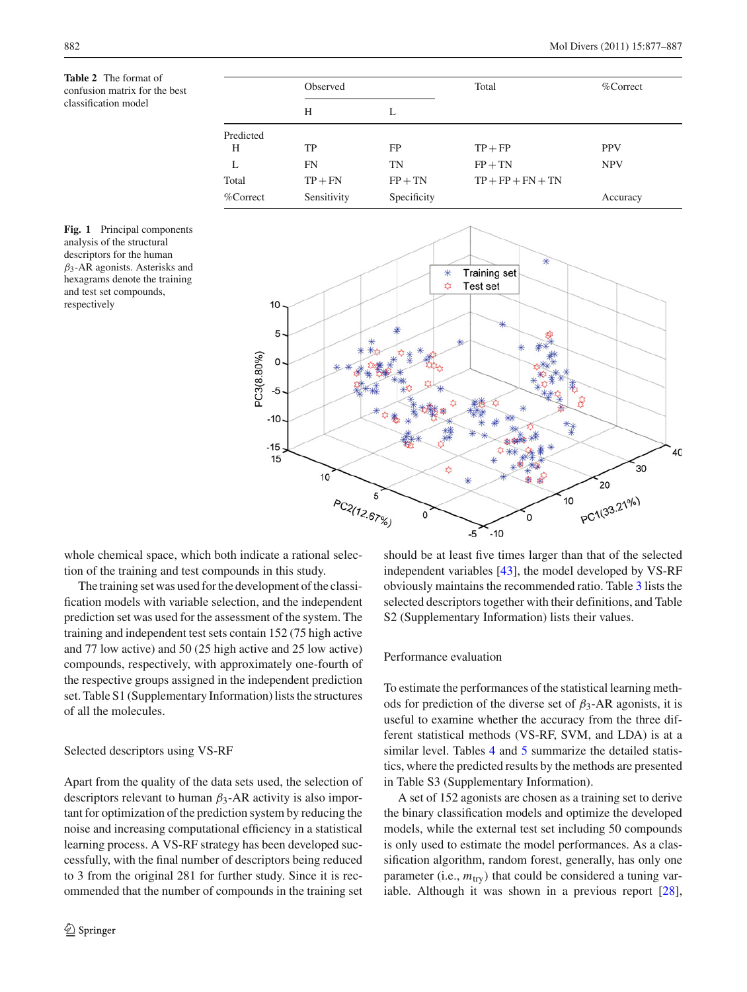<span id="page-5-0"></span>**Table 2** The format of confusion matrix for the best classification model

|              | Observed    |             | Total               | $%$ Correct |  |
|--------------|-------------|-------------|---------------------|-------------|--|
|              |             |             |                     |             |  |
|              | Н           | L           |                     |             |  |
| Predicted    |             |             |                     |             |  |
| H            | TP          | FP          | $TP + FP$           | <b>PPV</b>  |  |
|              | FN          | TN          | $FP + TN$           | <b>NPV</b>  |  |
| Total        | $TP + FN$   | $FP + TN$   | $TP + FP + FN + TN$ |             |  |
| $\%$ Correct | Sensitivity | Specificity |                     | Accuracy    |  |

<span id="page-5-1"></span>



whole chemical space, which both indicate a rational selection of the training and test compounds in this study.

The training set was used for the development of the classification models with variable selection, and the independent prediction set was used for the assessment of the system. The training and independent test sets contain 152 (75 high active and 77 low active) and 50 (25 high active and 25 low active) compounds, respectively, with approximately one-fourth of the respective groups assigned in the independent prediction set. Table S1 (Supplementary Information) lists the structures of all the molecules.

## Selected descriptors using VS-RF

Apart from the quality of the data sets used, the selection of descriptors relevant to human  $\beta_3$ -AR activity is also important for optimization of the prediction system by reducing the noise and increasing computational efficiency in a statistical learning process. A VS-RF strategy has been developed successfully, with the final number of descriptors being reduced to 3 from the original 281 for further study. Since it is recommended that the number of compounds in the training set

should be at least five times larger than that of the selected independent variables [\[43](#page-10-19)], the model developed by VS-RF obviously maintains the recommended ratio. Table [3](#page-6-0) lists the selected descriptors together with their definitions, and Table S2 (Supplementary Information) lists their values.

## Performance evaluation

To estimate the performances of the statistical learning methods for prediction of the diverse set of  $\beta_3$ -AR agonists, it is useful to examine whether the accuracy from the three different statistical methods (VS-RF, SVM, and LDA) is at a similar level. Tables [4](#page-6-1) and [5](#page-6-2) summarize the detailed statistics, where the predicted results by the methods are presented in Table S3 (Supplementary Information).

A set of 152 agonists are chosen as a training set to derive the binary classification models and optimize the developed models, while the external test set including 50 compounds is only used to estimate the model performances. As a classification algorithm, random forest, generally, has only one parameter (i.e.,  $m_{\text{try}}$ ) that could be considered a tuning variable. Although it was shown in a previous report [\[28](#page-10-4)],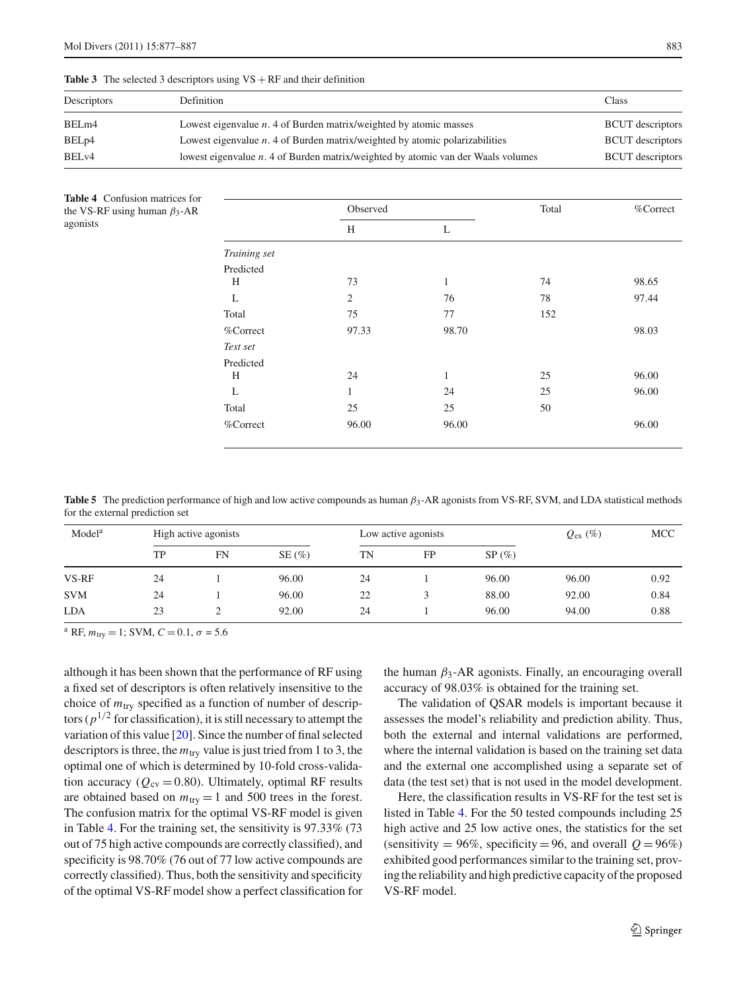| Descriptors       | Definition                                                                       | Class                   |
|-------------------|----------------------------------------------------------------------------------|-------------------------|
| BELm4             | Lowest eigenvalue $n$ . 4 of Burden matrix/weighted by atomic masses             | <b>BCUT</b> descriptors |
| BEL <sub>p4</sub> | Lowest eigenvalue $n.4$ of Burden matrix/weighted by atomic polarizabilities     | <b>BCUT</b> descriptors |
| BEL <sub>v4</sub> | lowest eigenvalue n. 4 of Burden matrix/weighted by atomic van der Waals volumes | <b>BCUT</b> descriptors |

<span id="page-6-0"></span>**Table 3** The selected 3 descriptors using  $VS + RF$  and their definition

<span id="page-6-1"></span>**Table 4** Confusion matrices for the VS-RF using human  $\beta_3$ -AR agonists

|              | Observed       |       | Total | %Correct |  |
|--------------|----------------|-------|-------|----------|--|
|              | H              | L     |       |          |  |
| Training set |                |       |       |          |  |
| Predicted    |                |       |       |          |  |
| H            | 73             | 1     | 74    | 98.65    |  |
| L            | $\overline{2}$ | 76    | 78    | 97.44    |  |
| Total        | 75             | 77    | 152   |          |  |
| %Correct     | 97.33          | 98.70 |       | 98.03    |  |
| Test set     |                |       |       |          |  |
| Predicted    |                |       |       |          |  |
| H            | 24             | 1     | 25    | 96.00    |  |
| L            | 1              | 24    | 25    | 96.00    |  |
| Total        | 25             | 25    | 50    |          |  |
| %Correct     | 96.00          | 96.00 |       | 96.00    |  |
|              |                |       |       |          |  |

<span id="page-6-2"></span>**Table 5** The prediction performance of high and low active compounds as human β3-AR agonists from VS-RF, SVM, and LDA statistical methods for the external prediction set

| Model <sup>a</sup> |    | High active agonists |       | Low active agonists |    |          | $Q_{\text{ex}}(\%)$ | <b>MCC</b> |
|--------------------|----|----------------------|-------|---------------------|----|----------|---------------------|------------|
|                    | TP | FN                   | SE(%) | TN                  | FP | $SP(\%)$ |                     |            |
| VS-RF              | 24 |                      | 96.00 | 24                  |    | 96.00    | 96.00               | 0.92       |
| <b>SVM</b>         | 24 |                      | 96.00 | 22                  |    | 88.00    | 92.00               | 0.84       |
| <b>LDA</b>         | 23 |                      | 92.00 | 24                  |    | 96.00    | 94.00               | 0.88       |

<sup>a</sup> RF,  $m_{\text{try}} = 1$ ; SVM,  $C = 0.1$ ,  $\sigma = 5.6$ 

although it has been shown that the performance of RF using a fixed set of descriptors is often relatively insensitive to the choice of *m*try specified as a function of number of descriptors ( $p^{1/2}$  for classification), it is still necessary to attempt the variation of this value [\[20](#page-9-14)]. Since the number of final selected descriptors is three, the  $m_{\text{try}}$  value is just tried from 1 to 3, the optimal one of which is determined by 10-fold cross-validation accuracy ( $Q_{\text{cv}} = 0.80$ ). Ultimately, optimal RF results are obtained based on  $m_{\text{try}} = 1$  and 500 trees in the forest. The confusion matrix for the optimal VS-RF model is given in Table [4.](#page-6-1) For the training set, the sensitivity is 97.33% (73 out of 75 high active compounds are correctly classified), and specificity is 98.70% (76 out of 77 low active compounds are correctly classified). Thus, both the sensitivity and specificity of the optimal VS-RF model show a perfect classification for the human  $\beta_3$ -AR agonists. Finally, an encouraging overall accuracy of 98.03% is obtained for the training set.

The validation of QSAR models is important because it assesses the model's reliability and prediction ability. Thus, both the external and internal validations are performed, where the internal validation is based on the training set data and the external one accomplished using a separate set of data (the test set) that is not used in the model development.

Here, the classification results in VS-RF for the test set is listed in Table [4.](#page-6-1) For the 50 tested compounds including 25 high active and 25 low active ones, the statistics for the set (sensitivity = 96%, specificity = 96, and overall  $Q = 96\%$ ) exhibited good performances similar to the training set, proving the reliability and high predictive capacity of the proposed VS-RF model.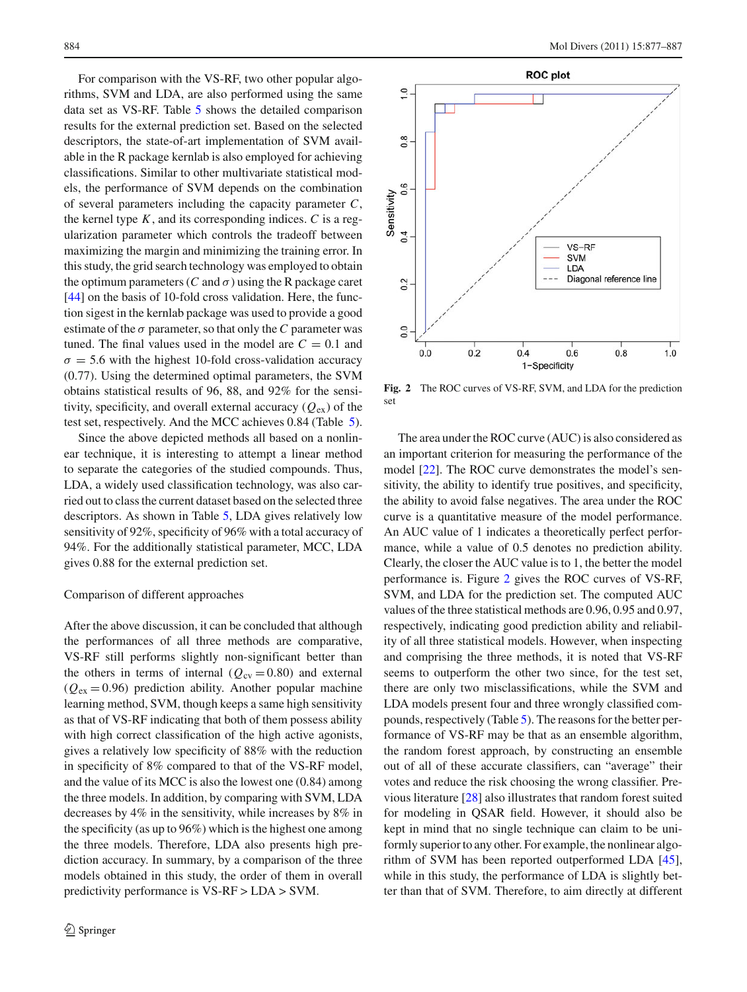For comparison with the VS-RF, two other popular algorithms, SVM and LDA, are also performed using the same data set as VS-RF. Table [5](#page-6-2) shows the detailed comparison results for the external prediction set. Based on the selected descriptors, the state-of-art implementation of SVM available in the R package kernlab is also employed for achieving classifications. Similar to other multivariate statistical models, the performance of SVM depends on the combination of several parameters including the capacity parameter *C*, the kernel type  $K$ , and its corresponding indices.  $C$  is a regularization parameter which controls the tradeoff between maximizing the margin and minimizing the training error. In this study, the grid search technology was employed to obtain the optimum parameters (*C* and  $\sigma$ ) using the R package caret [\[44](#page-10-20)] on the basis of 10-fold cross validation. Here, the function sigest in the kernlab package was used to provide a good estimate of the  $\sigma$  parameter, so that only the *C* parameter was tuned. The final values used in the model are  $C = 0.1$  and  $\sigma = 5.6$  with the highest 10-fold cross-validation accuracy (0.77). Using the determined optimal parameters, the SVM obtains statistical results of 96, 88, and 92% for the sensitivity, specificity, and overall external accuracy  $(Q_{ex})$  of the test set, respectively. And the MCC achieves 0.84 (Table [5\)](#page-6-2).

Since the above depicted methods all based on a nonlinear technique, it is interesting to attempt a linear method to separate the categories of the studied compounds. Thus, LDA, a widely used classification technology, was also carried out to class the current dataset based on the selected three descriptors. As shown in Table [5,](#page-6-2) LDA gives relatively low sensitivity of 92%, specificity of 96% with a total accuracy of 94%. For the additionally statistical parameter, MCC, LDA gives 0.88 for the external prediction set.

## Comparison of different approaches

After the above discussion, it can be concluded that although the performances of all three methods are comparative, VS-RF still performs slightly non-significant better than the others in terms of internal ( $Q_{\text{cv}} = 0.80$ ) and external  $(Q_{ex} = 0.96)$  prediction ability. Another popular machine learning method, SVM, though keeps a same high sensitivity as that of VS-RF indicating that both of them possess ability with high correct classification of the high active agonists, gives a relatively low specificity of 88% with the reduction in specificity of 8% compared to that of the VS-RF model, and the value of its MCC is also the lowest one (0.84) among the three models. In addition, by comparing with SVM, LDA decreases by 4% in the sensitivity, while increases by 8% in the specificity (as up to 96%) which is the highest one among the three models. Therefore, LDA also presents high prediction accuracy. In summary, by a comparison of the three models obtained in this study, the order of them in overall predictivity performance is VS-RF > LDA > SVM.



<span id="page-7-0"></span>**Fig. 2** The ROC curves of VS-RF, SVM, and LDA for the prediction set

The area under the ROC curve (AUC) is also considered as an important criterion for measuring the performance of the model [\[22](#page-9-16)]. The ROC curve demonstrates the model's sensitivity, the ability to identify true positives, and specificity, the ability to avoid false negatives. The area under the ROC curve is a quantitative measure of the model performance. An AUC value of 1 indicates a theoretically perfect performance, while a value of 0.5 denotes no prediction ability. Clearly, the closer the AUC value is to 1, the better the model performance is. Figure [2](#page-7-0) gives the ROC curves of VS-RF, SVM, and LDA for the prediction set. The computed AUC values of the three statistical methods are 0.96, 0.95 and 0.97, respectively, indicating good prediction ability and reliability of all three statistical models. However, when inspecting and comprising the three methods, it is noted that VS-RF seems to outperform the other two since, for the test set, there are only two misclassifications, while the SVM and LDA models present four and three wrongly classified compounds, respectively (Table [5\)](#page-6-2). The reasons for the better performance of VS-RF may be that as an ensemble algorithm, the random forest approach, by constructing an ensemble out of all of these accurate classifiers, can "average" their votes and reduce the risk choosing the wrong classifier. Previous literature [\[28](#page-10-4)] also illustrates that random forest suited for modeling in QSAR field. However, it should also be kept in mind that no single technique can claim to be uniformly superior to any other. For example, the nonlinear algorithm of SVM has been reported outperformed LDA [\[45](#page-10-21)], while in this study, the performance of LDA is slightly better than that of SVM. Therefore, to aim directly at different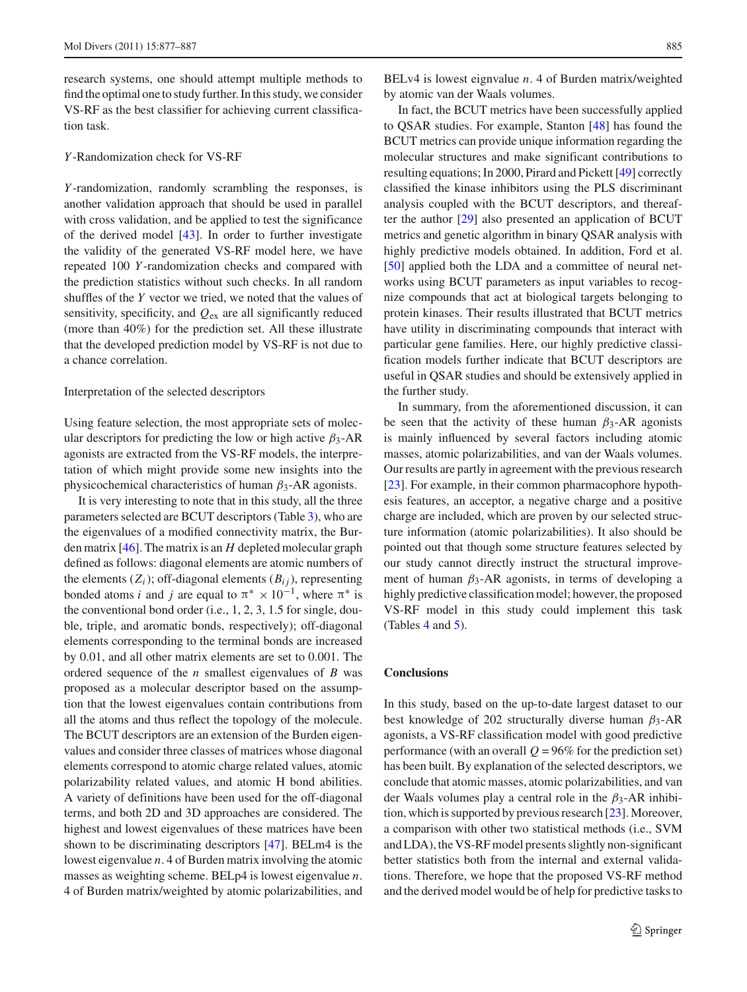research systems, one should attempt multiple methods to find the optimal one to study further. In this study, we consider VS-RF as the best classifier for achieving current classification task.

## *Y* -Randomization check for VS-RF

*Y* -randomization, randomly scrambling the responses, is another validation approach that should be used in parallel with cross validation, and be applied to test the significance of the derived model [\[43\]](#page-10-19). In order to further investigate the validity of the generated VS-RF model here, we have repeated 100 *Y* -randomization checks and compared with the prediction statistics without such checks. In all random shuffles of the *Y* vector we tried, we noted that the values of sensitivity, specificity, and *Q*ex are all significantly reduced (more than 40%) for the prediction set. All these illustrate that the developed prediction model by VS-RF is not due to a chance correlation.

#### Interpretation of the selected descriptors

Using feature selection, the most appropriate sets of molecular descriptors for predicting the low or high active  $\beta_3$ -AR agonists are extracted from the VS-RF models, the interpretation of which might provide some new insights into the physicochemical characteristics of human  $\beta_3$ -AR agonists.

It is very interesting to note that in this study, all the three parameters selected are BCUT descriptors (Table [3\)](#page-6-0), who are the eigenvalues of a modified connectivity matrix, the Burden matrix [\[46\]](#page-10-22). The matrix is an *H* depleted molecular graph defined as follows: diagonal elements are atomic numbers of the elements  $(Z_i)$ ; off-diagonal elements  $(B_{ij})$ , representing bonded atoms *i* and *j* are equal to  $\pi^* \times 10^{-1}$ , where  $\pi^*$  is the conventional bond order (i.e., 1, 2, 3, 1.5 for single, double, triple, and aromatic bonds, respectively); off-diagonal elements corresponding to the terminal bonds are increased by 0.01, and all other matrix elements are set to 0.001. The ordered sequence of the *n* smallest eigenvalues of *B* was proposed as a molecular descriptor based on the assumption that the lowest eigenvalues contain contributions from all the atoms and thus reflect the topology of the molecule. The BCUT descriptors are an extension of the Burden eigenvalues and consider three classes of matrices whose diagonal elements correspond to atomic charge related values, atomic polarizability related values, and atomic H bond abilities. A variety of definitions have been used for the off-diagonal terms, and both 2D and 3D approaches are considered. The highest and lowest eigenvalues of these matrices have been shown to be discriminating descriptors [\[47\]](#page-10-23). BELm4 is the lowest eigenvalue *n*. 4 of Burden matrix involving the atomic masses as weighting scheme. BELp4 is lowest eigenvalue *n*. 4 of Burden matrix/weighted by atomic polarizabilities, and

BELv4 is lowest eignvalue *n*. 4 of Burden matrix/weighted by atomic van der Waals volumes.

In fact, the BCUT metrics have been successfully applied to QSAR studies. For example, Stanton [\[48\]](#page-10-24) has found the BCUT metrics can provide unique information regarding the molecular structures and make significant contributions to resulting equations; In 2000, Pirard and Pickett [\[49\]](#page-10-25) correctly classified the kinase inhibitors using the PLS discriminant analysis coupled with the BCUT descriptors, and thereafter the author [\[29\]](#page-10-5) also presented an application of BCUT metrics and genetic algorithm in binary QSAR analysis with highly predictive models obtained. In addition, Ford et al. [\[50](#page-10-26)] applied both the LDA and a committee of neural networks using BCUT parameters as input variables to recognize compounds that act at biological targets belonging to protein kinases. Their results illustrated that BCUT metrics have utility in discriminating compounds that interact with particular gene families. Here, our highly predictive classification models further indicate that BCUT descriptors are useful in QSAR studies and should be extensively applied in the further study.

In summary, from the aforementioned discussion, it can be seen that the activity of these human  $\beta_3$ -AR agonists is mainly influenced by several factors including atomic masses, atomic polarizabilities, and van der Waals volumes. Our results are partly in agreement with the previous research [\[23](#page-9-17)]. For example, in their common pharmacophore hypothesis features, an acceptor, a negative charge and a positive charge are included, which are proven by our selected structure information (atomic polarizabilities). It also should be pointed out that though some structure features selected by our study cannot directly instruct the structural improvement of human  $\beta_3$ -AR agonists, in terms of developing a highly predictive classification model; however, the proposed VS-RF model in this study could implement this task (Tables [4](#page-6-1) and [5\)](#page-6-2).

#### **Conclusions**

In this study, based on the up-to-date largest dataset to our best knowledge of 202 structurally diverse human  $\beta_3$ -AR agonists, a VS-RF classification model with good predictive performance (with an overall  $Q = 96\%$  for the prediction set) has been built. By explanation of the selected descriptors, we conclude that atomic masses, atomic polarizabilities, and van der Waals volumes play a central role in the  $\beta_3$ -AR inhibition, which is supported by previous research [\[23\]](#page-9-17). Moreover, a comparison with other two statistical methods (i.e., SVM and LDA), the VS-RF model presents slightly non-significant better statistics both from the internal and external validations. Therefore, we hope that the proposed VS-RF method and the derived model would be of help for predictive tasks to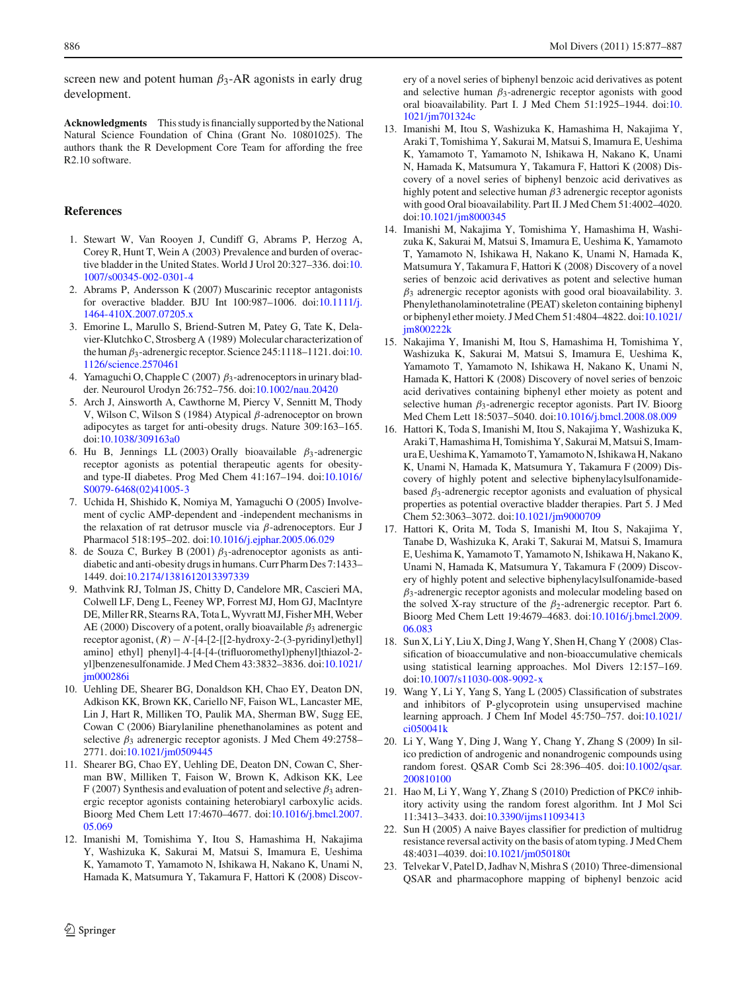screen new and potent human  $\beta_3$ -AR agonists in early drug development.

**Acknowledgments** This study is financially supported by the National Natural Science Foundation of China (Grant No. 10801025). The authors thank the R Development Core Team for affording the free R2.10 software.

## **References**

- <span id="page-9-0"></span>1. Stewart W, Van Rooyen J, Cundiff G, Abrams P, Herzog A, Corey R, Hunt T, Wein A (2003) Prevalence and burden of overactive bladder in the United States. World J Urol 20:327–336. doi[:10.](http://dx.doi.org/10.1007/s00345-002-0301-4) [1007/s00345-002-0301-4](http://dx.doi.org/10.1007/s00345-002-0301-4)
- <span id="page-9-1"></span>2. Abrams P, Andersson K (2007) Muscarinic receptor antagonists for overactive bladder. BJU Int 100:987–1006. doi[:10.1111/j.](http://dx.doi.org/10.1111/j.1464-410X.2007.07205.x) [1464-410X.2007.07205.x](http://dx.doi.org/10.1111/j.1464-410X.2007.07205.x)
- <span id="page-9-2"></span>3. Emorine L, Marullo S, Briend-Sutren M, Patey G, Tate K, Delavier-Klutchko C, Strosberg A (1989) Molecular characterization of the human  $\beta_3$ -adrenergic receptor. Science 245:1118–1121. doi[:10.](http://dx.doi.org/10.1126/science.2570461) [1126/science.2570461](http://dx.doi.org/10.1126/science.2570461)
- <span id="page-9-3"></span>4. Yamaguchi O, Chapple C (2007)  $\beta_3$ -adrenoceptors in urinary bladder. Neurourol Urodyn 26:752–756. doi[:10.1002/nau.20420](http://dx.doi.org/10.1002/nau.20420)
- <span id="page-9-4"></span>5. Arch J, Ainsworth A, Cawthorne M, Piercy V, Sennitt M, Thody V, Wilson C, Wilson S (1984) Atypical β-adrenoceptor on brown adipocytes as target for anti-obesity drugs. Nature 309:163–165. doi[:10.1038/309163a0](http://dx.doi.org/10.1038/309163a0)
- <span id="page-9-5"></span>6. Hu B, Jennings LL (2003) Orally bioavailable  $\beta_3$ -adrenergic receptor agonists as potential therapeutic agents for obesityand type-II diabetes. Prog Med Chem 41:167–194. doi[:10.1016/](http://dx.doi.org/10.1016/S0079-6468(02)41005-3) [S0079-6468\(02\)41005-3](http://dx.doi.org/10.1016/S0079-6468(02)41005-3)
- <span id="page-9-6"></span>7. Uchida H, Shishido K, Nomiya M, Yamaguchi O (2005) Involvement of cyclic AMP-dependent and -independent mechanisms in the relaxation of rat detrusor muscle via β-adrenoceptors. Eur J Pharmacol 518:195–202. doi[:10.1016/j.ejphar.2005.06.029](http://dx.doi.org/10.1016/j.ejphar.2005.06.029)
- <span id="page-9-7"></span>8. de Souza C, Burkey B (2001)  $\beta_3$ -adrenoceptor agonists as antidiabetic and anti-obesity drugs in humans. Curr Pharm Des 7:1433– 1449. doi[:10.2174/1381612013397339](http://dx.doi.org/10.2174/1381612013397339)
- <span id="page-9-8"></span>9. Mathvink RJ, Tolman JS, Chitty D, Candelore MR, Cascieri MA, Colwell LF, Deng L, Feeney WP, Forrest MJ, Hom GJ, MacIntyre DE, Miller RR, Stearns RA, Tota L, Wyvratt MJ, Fisher MH, Weber AE (2000) Discovery of a potent, orally bioavailable  $\beta_3$  adrenergic receptor agonist, (*R*)− *N*-[4-[2-[[2-hydroxy-2-(3-pyridinyl)ethyl] amino] ethyl] phenyl]-4-[4-[4-(trifluoromethyl)phenyl]thiazol-2 yl]benzenesulfonamide. J Med Chem 43:3832–3836. doi[:10.1021/](http://dx.doi.org/10.1021/jm000286i) [jm000286i](http://dx.doi.org/10.1021/jm000286i)
- 10. Uehling DE, Shearer BG, Donaldson KH, Chao EY, Deaton DN, Adkison KK, Brown KK, Cariello NF, Faison WL, Lancaster ME, Lin J, Hart R, Milliken TO, Paulik MA, Sherman BW, Sugg EE, Cowan C (2006) Biarylaniline phenethanolamines as potent and selective  $\beta_3$  adrenergic receptor agonists. J Med Chem 49:2758– 2771. doi[:10.1021/jm0509445](http://dx.doi.org/10.1021/jm0509445)
- <span id="page-9-9"></span>11. Shearer BG, Chao EY, Uehling DE, Deaton DN, Cowan C, Sherman BW, Milliken T, Faison W, Brown K, Adkison KK, Lee F (2007) Synthesis and evaluation of potent and selective  $\beta_3$  adrenergic receptor agonists containing heterobiaryl carboxylic acids. Bioorg Med Chem Lett 17:4670–4677. doi[:10.1016/j.bmcl.2007.](http://dx.doi.org/10.1016/j.bmcl.2007.05.069) [05.069](http://dx.doi.org/10.1016/j.bmcl.2007.05.069)
- <span id="page-9-10"></span>12. Imanishi M, Tomishima Y, Itou S, Hamashima H, Nakajima Y, Washizuka K, Sakurai M, Matsui S, Imamura E, Ueshima K, Yamamoto T, Yamamoto N, Ishikawa H, Nakano K, Unami N, Hamada K, Matsumura Y, Takamura F, Hattori K (2008) Discov-

ery of a novel series of biphenyl benzoic acid derivatives as potent and selective human  $\beta_3$ -adrenergic receptor agonists with good oral bioavailability. Part I. J Med Chem 51:1925–1944. doi[:10.](http://dx.doi.org/10.1021/jm701324c) [1021/jm701324c](http://dx.doi.org/10.1021/jm701324c)

- <span id="page-9-18"></span>13. Imanishi M, Itou S, Washizuka K, Hamashima H, Nakajima Y, Araki T, Tomishima Y, Sakurai M, Matsui S, Imamura E, Ueshima K, Yamamoto T, Yamamoto N, Ishikawa H, Nakano K, Unami N, Hamada K, Matsumura Y, Takamura F, Hattori K (2008) Discovery of a novel series of biphenyl benzoic acid derivatives as highly potent and selective human  $\beta$ 3 adrenergic receptor agonists with good Oral bioavailability. Part II. J Med Chem 51:4002–4020. doi[:10.1021/jm8000345](http://dx.doi.org/10.1021/jm8000345)
- 14. Imanishi M, Nakajima Y, Tomishima Y, Hamashima H, Washizuka K, Sakurai M, Matsui S, Imamura E, Ueshima K, Yamamoto T, Yamamoto N, Ishikawa H, Nakano K, Unami N, Hamada K, Matsumura Y, Takamura F, Hattori K (2008) Discovery of a novel series of benzoic acid derivatives as potent and selective human  $\beta_3$  adrenergic receptor agonists with good oral bioavailability. 3. Phenylethanolaminotetraline (PEAT) skeleton containing biphenyl or biphenyl ether moiety. J Med Chem 51:4804–4822. doi[:10.1021/](http://dx.doi.org/10.1021/jm800222k) [jm800222k](http://dx.doi.org/10.1021/jm800222k)
- 15. Nakajima Y, Imanishi M, Itou S, Hamashima H, Tomishima Y, Washizuka K, Sakurai M, Matsui S, Imamura E, Ueshima K, Yamamoto T, Yamamoto N, Ishikawa H, Nakano K, Unami N, Hamada K, Hattori K (2008) Discovery of novel series of benzoic acid derivatives containing biphenyl ether moiety as potent and selective human β3-adrenergic receptor agonists. Part IV. Bioorg Med Chem Lett 18:5037–5040. doi[:10.1016/j.bmcl.2008.08.009](http://dx.doi.org/10.1016/j.bmcl.2008.08.009)
- <span id="page-9-19"></span>16. Hattori K, Toda S, Imanishi M, Itou S, Nakajima Y, Washizuka K, Araki T, Hamashima H, Tomishima Y, Sakurai M, Matsui S, Imamura E, Ueshima K, Yamamoto T, Yamamoto N, Ishikawa H, Nakano K, Unami N, Hamada K, Matsumura Y, Takamura F (2009) Discovery of highly potent and selective biphenylacylsulfonamidebased  $\beta_3$ -adrenergic receptor agonists and evaluation of physical properties as potential overactive bladder therapies. Part 5. J Med Chem 52:3063–3072. doi[:10.1021/jm9000709](http://dx.doi.org/10.1021/jm9000709)
- <span id="page-9-11"></span>17. Hattori K, Orita M, Toda S, Imanishi M, Itou S, Nakajima Y, Tanabe D, Washizuka K, Araki T, Sakurai M, Matsui S, Imamura E, Ueshima K, Yamamoto T, Yamamoto N, Ishikawa H, Nakano K, Unami N, Hamada K, Matsumura Y, Takamura F (2009) Discovery of highly potent and selective biphenylacylsulfonamide-based  $\beta_3$ -adrenergic receptor agonists and molecular modeling based on the solved X-ray structure of the  $\beta_2$ -adrenergic receptor. Part 6. Bioorg Med Chem Lett 19:4679–4683. doi[:10.1016/j.bmcl.2009.](http://dx.doi.org/10.1016/j.bmcl.2009.06.083) [06.083](http://dx.doi.org/10.1016/j.bmcl.2009.06.083)
- <span id="page-9-12"></span>18. Sun X, Li Y, Liu X, Ding J,Wang Y, Shen H, Chang Y (2008) Classification of bioaccumulative and non-bioaccumulative chemicals using statistical learning approaches. Mol Divers 12:157–169. doi[:10.1007/s11030-008-9092-x](http://dx.doi.org/10.1007/s11030-008-9092-x)
- <span id="page-9-13"></span>19. Wang Y, Li Y, Yang S, Yang L (2005) Classification of substrates and inhibitors of P-glycoprotein using unsupervised machine learning approach. J Chem Inf Model 45:750–757. doi[:10.1021/](http://dx.doi.org/10.1021/ci050041k) [ci050041k](http://dx.doi.org/10.1021/ci050041k)
- <span id="page-9-14"></span>20. Li Y, Wang Y, Ding J, Wang Y, Chang Y, Zhang S (2009) In silico prediction of androgenic and nonandrogenic compounds using random forest. QSAR Comb Sci 28:396–405. doi[:10.1002/qsar.](http://dx.doi.org/10.1002/qsar.200810100) [200810100](http://dx.doi.org/10.1002/qsar.200810100)
- <span id="page-9-15"></span>21. Hao M, Li Y, Wang Y, Zhang S (2010) Prediction of PKCθ inhibitory activity using the random forest algorithm. Int J Mol Sci 11:3413–3433. doi[:10.3390/ijms11093413](http://dx.doi.org/10.3390/ijms11093413)
- <span id="page-9-16"></span>22. Sun H (2005) A naive Bayes classifier for prediction of multidrug resistance reversal activity on the basis of atom typing. J Med Chem 48:4031–4039. doi[:10.1021/jm050180t](http://dx.doi.org/10.1021/jm050180t)
- <span id="page-9-17"></span>23. Telvekar V, Patel D, Jadhav N, Mishra S (2010) Three-dimensional QSAR and pharmacophore mapping of biphenyl benzoic acid